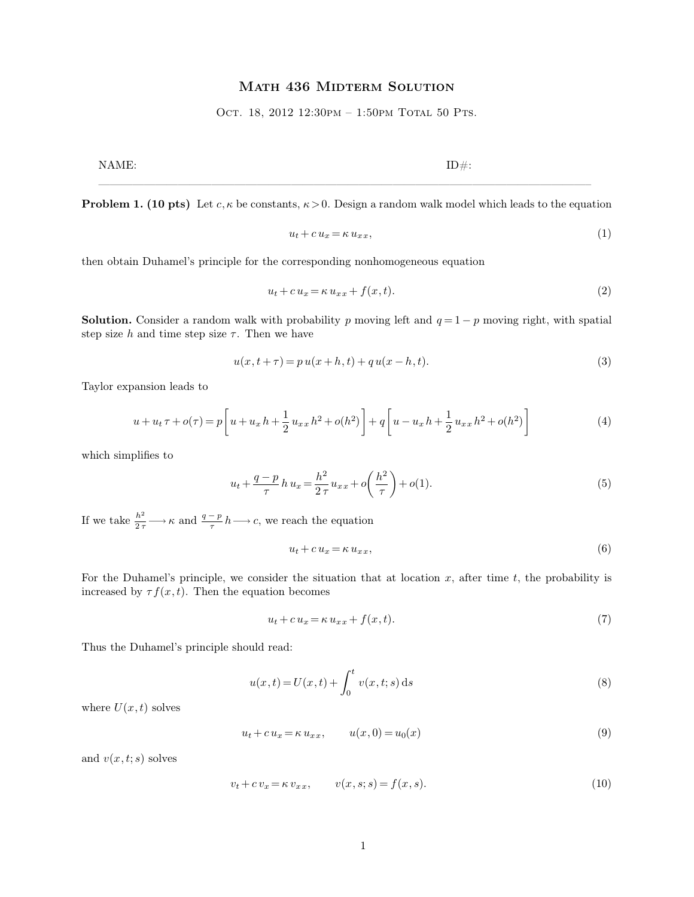## MATH 436 MIDTERM SOLUTION

OCT. 18, 2012 12:30PM - 1:50PM TOTAL 50 PTS.

NAME:  $ID#$ :

———————————————————————————————————————————– **Problem 1. (10 pts)** Let  $c, \kappa$  be constants,  $\kappa > 0$ . Design a random walk model which leads to the equation

$$
u_t + c u_x = \kappa u_{xx},\tag{1}
$$

then obtain Duhamel's principle for the corresponding nonhomogeneous equation

$$
u_t + c u_x = \kappa u_{xx} + f(x, t). \tag{2}
$$

**Solution.** Consider a random walk with probability p moving left and  $q = 1 - p$  moving right, with spatial step size h and time step size  $\tau$ . Then we have

$$
u(x, t + \tau) = p u(x + h, t) + q u(x - h, t).
$$
\n(3)

Taylor expansion leads to

$$
u + u_t \tau + o(\tau) = p \left[ u + u_x h + \frac{1}{2} u_{xx} h^2 + o(h^2) \right] + q \left[ u - u_x h + \frac{1}{2} u_{xx} h^2 + o(h^2) \right]
$$
(4)

which simplifies to

$$
u_t + \frac{q-p}{\tau} h u_x = \frac{h^2}{2\tau} u_{xx} + o\left(\frac{h^2}{\tau}\right) + o(1).
$$
 (5)

If we take  $\frac{h^2}{2\tau} \longrightarrow \kappa$  and  $\frac{q-p}{\tau}h \longrightarrow c$ , we reach the equation

$$
u_t + c u_x = \kappa u_{xx},\tag{6}
$$

For the Duhamel's principle, we consider the situation that at location  $x$ , after time  $t$ , the probability is increased by  $\tau f(x, t)$ . Then the equation becomes

$$
u_t + c u_x = \kappa u_{xx} + f(x, t). \tag{7}
$$

Thus the Duhamel's principle should read:

$$
u(x,t) = U(x,t) + \int_0^t v(x,t;s) \, ds \tag{8}
$$

where  $U(x,t)$  solves

$$
u_t + c u_x = \kappa u_{xx}, \qquad u(x,0) = u_0(x) \tag{9}
$$

and  $v(x, t; s)$  solves

$$
v_t + c v_x = \kappa v_{xx}, \qquad v(x, s; s) = f(x, s). \tag{10}
$$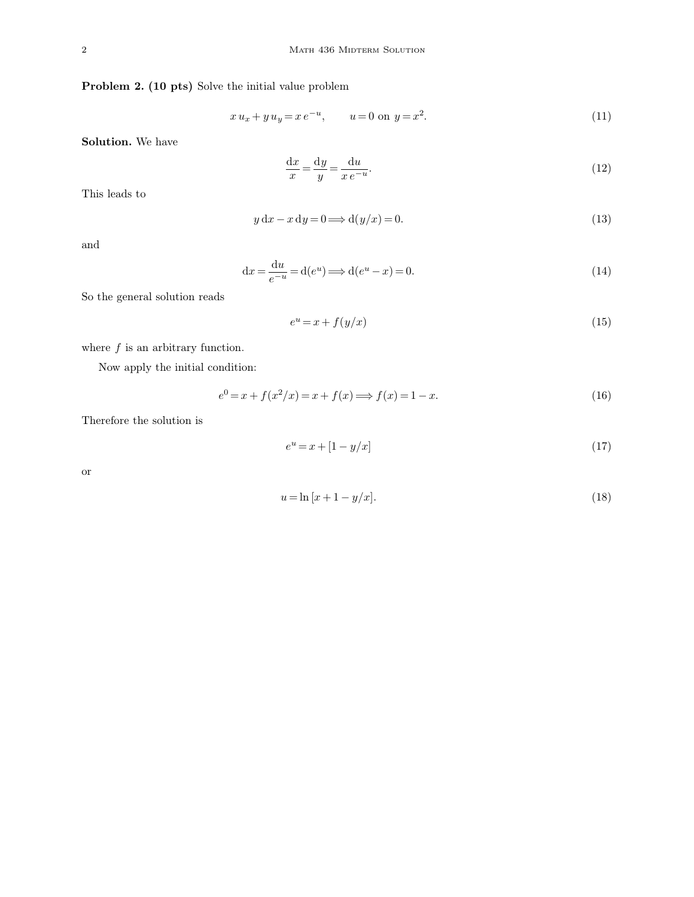**Problem 2. (10 pts)** Solve the initial value problem

$$
x u_x + y u_y = x e^{-u}, \qquad u = 0 \text{ on } y = x^2. \tag{11}
$$

**Solution.** We have

$$
\frac{\mathrm{d}x}{x} = \frac{\mathrm{d}y}{y} = \frac{\mathrm{d}u}{x e^{-u}}.\tag{12}
$$

This leads to

$$
y dx - x dy = 0 \Longrightarrow d(y/x) = 0.
$$
\n(13)

and

$$
dx = \frac{du}{e^{-u}} = d(e^u) \Longrightarrow d(e^u - x) = 0.
$$
\n(14)

So the general solution reads

$$
e^u = x + f(y/x) \tag{15}
$$

where  $\boldsymbol{f}$  is an arbitrary function.

Now apply the initial condition:

$$
e^{0} = x + f(x^{2}/x) = x + f(x) \Longrightarrow f(x) = 1 - x.
$$
\n(16)

Therefore the solution is

$$
e^u = x + [1 - y/x]
$$
 (17)

or

$$
u = \ln [x + 1 - y/x].
$$
 (18)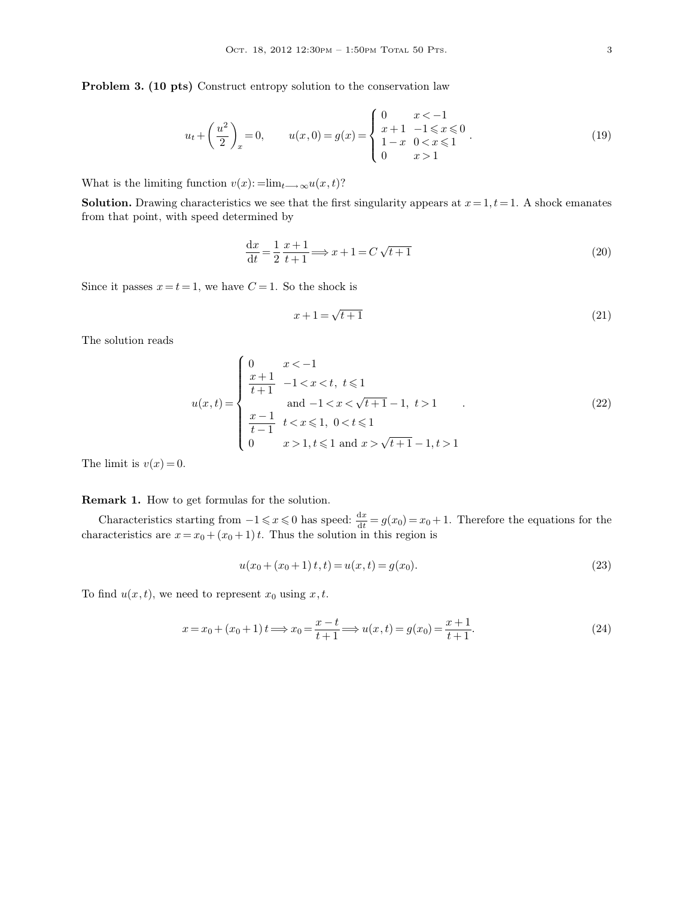**Problem 3. (10 pts)** Construct entropy solution to the conservation law

$$
u_t + \left(\frac{u^2}{2}\right)_x = 0, \qquad u(x,0) = g(x) = \begin{cases} 0 & x < -1 \\ x+1 & -1 \le x \le 0 \\ 1-x & 0 < x \le 1 \\ 0 & x > 1 \end{cases} \tag{19}
$$

What is the limiting function  $v(x)$ : =lim<sub>t→∞</sub>u(x, t)?

**Solution.** Drawing characteristics we see that the first singularity appears at  $x = 1, t = 1$ . A shock emanates from that point, with speed determined by

$$
\frac{dx}{dt} = \frac{1}{2} \frac{x+1}{t+1} \Longrightarrow x+1 = C\sqrt{t+1}
$$
\n(20)

Since it passes  $x = t = 1$ , we have  $C = 1$ . So the shock is

$$
x + 1 = \sqrt{t+1} \tag{21}
$$

The solution reads

$$
u(x,t) = \begin{cases} 0 & x < -1 \\ \frac{x+1}{t+1} & -1 < x < t, \ t \leq 1 \\ \text{and } -1 < x < \sqrt{t+1} - 1, \ t > 1 \\ \frac{x-1}{t-1} & t < x \leq 1, \ 0 < t \leq 1 \\ 0 & x > 1, \ t \leq 1 \text{ and } x > \sqrt{t+1} - 1, \ t > 1 \end{cases} \tag{22}
$$

The limit is  $v(x) = 0$ .

## **Remark 1.** How to get formulas for the solution.

Characteristics starting from  $-1 \le x \le 0$  has speed:  $\frac{dx}{dt} = g(x_0) = x_0 + 1$ . Therefore the equations for the characteristics are  $x = x_0 + (x_0 + 1)t$ . Thus the solution in this region is

$$
u(x_0 + (x_0 + 1)t, t) = u(x, t) = g(x_0).
$$
\n(23)

To find  $u(x, t)$ , we need to represent  $x_0$  using  $x, t$ .

$$
x = x_0 + (x_0 + 1) t \Longrightarrow x_0 = \frac{x - t}{t + 1} \Longrightarrow u(x, t) = g(x_0) = \frac{x + 1}{t + 1}.
$$
 (24)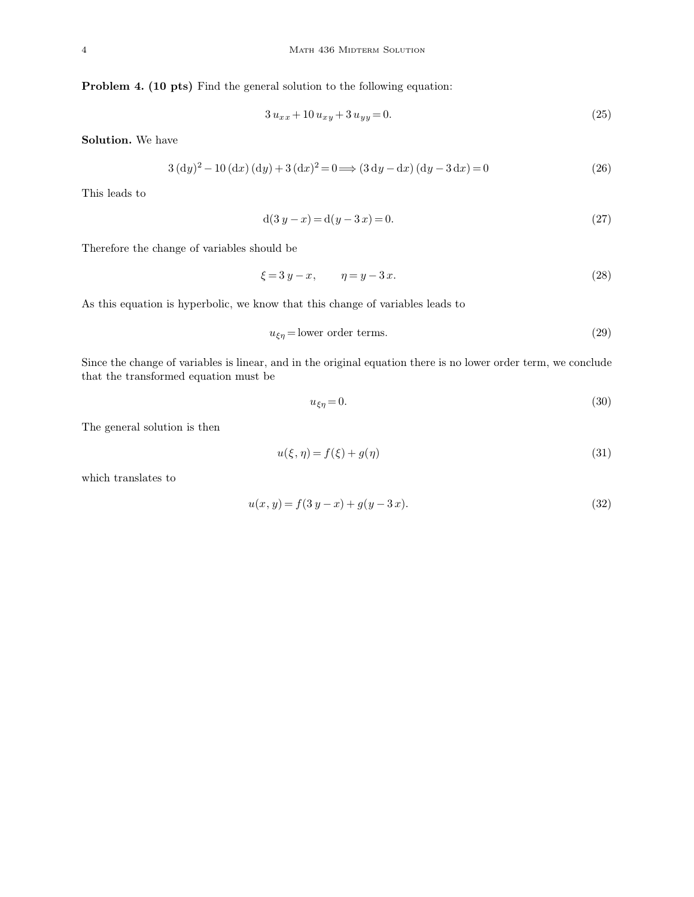**Problem 4. (10 pts)** Find the general solution to the following equation:

$$
3 u_{xx} + 10 u_{xy} + 3 u_{yy} = 0. \tag{25}
$$

**Solution.** We have

$$
3(dy)2 - 10(dx) (dy) + 3(dx)2 = 0 \Longrightarrow (3 dy - dx) (dy - 3 dx) = 0
$$
 (26)

This leads to

$$
d(3 y - x) = d(y - 3 x) = 0.
$$
\n(27)

Therefore the change of variables should be

$$
\xi = 3 y - x, \qquad \eta = y - 3 x. \tag{28}
$$

As this equation is hyperbolic, we know that this change of variables leads to

$$
u_{\xi\eta} = \text{lower order terms.} \tag{29}
$$

Since the change of variables is linear, and in the original equation there is no lower order term, we conclude that the transformed equation must be

$$
u_{\xi\eta} = 0.\tag{30}
$$

The general solution is then

$$
u(\xi, \eta) = f(\xi) + g(\eta) \tag{31}
$$

which translates to

$$
u(x, y) = f(3y - x) + g(y - 3x).
$$
\n(32)